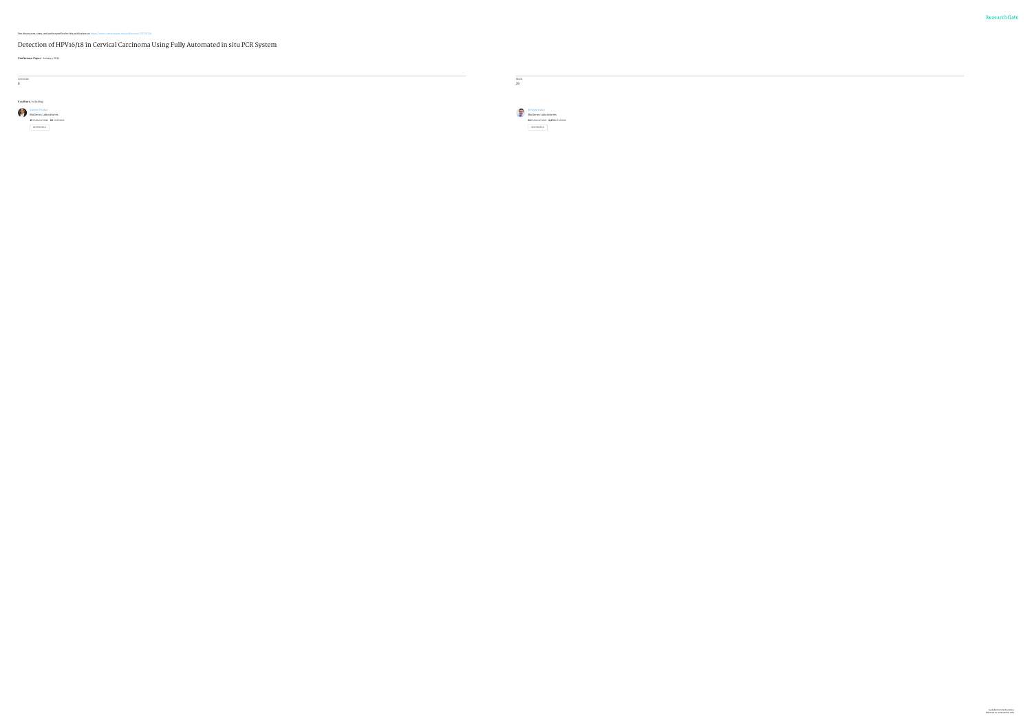#### See discussions, stats, and author profiles for this publication at: [https://www.researchgate.net/publication/273776728](https://www.researchgate.net/publication/273776728_Detection_of_HPV1618_in_Cervical_Carcinoma_Using_Fully_Automated_in_situ_PCR_System?enrichId=rgreq-e3f27a412da3e41c68f958cd63640e93-XXX&enrichSource=Y292ZXJQYWdlOzI3Mzc3NjcyODtBUzoyMDk0MTI5OTcyOTIwMzhAMTQyNjkzOTM1ODAwNA%3D%3D&el=1_x_2)

**19** PUBLICATIONS **26** CITATIONS SEE [PROFILE](https://www.researchgate.net/profile/Suresh_Thakur4?enrichId=rgreq-e3f27a412da3e41c68f958cd63640e93-XXX&enrichSource=Y292ZXJQYWdlOzI3Mzc3NjcyODtBUzoyMDk0MTI5OTcyOTIwMzhAMTQyNjkzOTM1ODAwNA%3D%3D&el=1_x_7)

#### Detection of HPV16/18 in Cervical Carcinoma Using Fully [Automated](https://www.researchgate.net/publication/273776728_Detection_of_HPV1618_in_Cervical_Carcinoma_Using_Fully_Automated_in_situ_PCR_System?enrichId=rgreq-e3f27a412da3e41c68f958cd63640e93-XXX&enrichSource=Y292ZXJQYWdlOzI3Mzc3NjcyODtBUzoyMDk0MTI5OTcyOTIwMzhAMTQyNjkzOTM1ODAwNA%3D%3D&el=1_x_3) in situ PCR System

**Contract Contract** READS 19 [Krishan](https://www.researchgate.net/profile/Krishan_Kalra?enrichId=rgreq-e3f27a412da3e41c68f958cd63640e93-XXX&enrichSource=Y292ZXJQYWdlOzI3Mzc3NjcyODtBUzoyMDk0MTI5OTcyOTIwMzhAMTQyNjkzOTM1ODAwNA%3D%3D&el=1_x_5) Kalra

> **64** PUBLICATIONS **2,474** CITATIONS SEE [PROFILE](https://www.researchgate.net/profile/Krishan_Kalra?enrichId=rgreq-e3f27a412da3e41c68f958cd63640e93-XXX&enrichSource=Y292ZXJQYWdlOzI3Mzc3NjcyODtBUzoyMDk0MTI5OTcyOTIwMzhAMTQyNjkzOTM1ODAwNA%3D%3D&el=1_x_7)

**Conference Paper** · January 2011

CITATIONS 0 **6 authors**, including: Suresh [Thakur](https://www.researchgate.net/profile/Suresh_Thakur4?enrichId=rgreq-e3f27a412da3e41c68f958cd63640e93-XXX&enrichSource=Y292ZXJQYWdlOzI3Mzc3NjcyODtBUzoyMDk0MTI5OTcyOTIwMzhAMTQyNjkzOTM1ODAwNA%3D%3D&el=1_x_5) BioGenex [Laboratories](https://www.researchgate.net/institution/BioGenex_Laboratories?enrichId=rgreq-e3f27a412da3e41c68f958cd63640e93-XXX&enrichSource=Y292ZXJQYWdlOzI3Mzc3NjcyODtBUzoyMDk0MTI5OTcyOTIwMzhAMTQyNjkzOTM1ODAwNA%3D%3D&el=1_x_6)

BioGenex [Laboratories](https://www.researchgate.net/institution/BioGenex_Laboratories?enrichId=rgreq-e3f27a412da3e41c68f958cd63640e93-XXX&enrichSource=Y292ZXJQYWdlOzI3Mzc3NjcyODtBUzoyMDk0MTI5OTcyOTIwMzhAMTQyNjkzOTM1ODAwNA%3D%3D&el=1_x_6)

Available from: Krishan Kalra Retrieved on: 02 November 2016